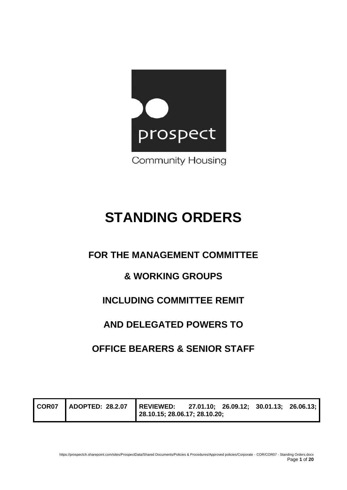

# **STANDING ORDERS**

### **FOR THE MANAGEMENT COMMITTEE**

### **& WORKING GROUPS**

## **INCLUDING COMMITTEE REMIT**

### **AND DELEGATED POWERS TO**

### **OFFICE BEARERS & SENIOR STAFF**

| COR <sub>07</sub> | ADOPTED: 28.2.07 | REVIEWED: 27.01.10; 26.09.12; 30.01.13; 26.06.13;<br>28.10.15; 28.06.17; 28.10.20; |  |  |  |  |
|-------------------|------------------|------------------------------------------------------------------------------------|--|--|--|--|
|-------------------|------------------|------------------------------------------------------------------------------------|--|--|--|--|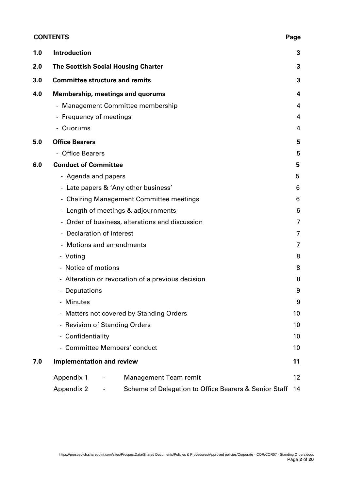#### **CONTENTS Page**

| 1.0 | <b>Introduction</b>                                                              | 3  |
|-----|----------------------------------------------------------------------------------|----|
| 2.0 | <b>The Scottish Social Housing Charter</b>                                       | 3  |
| 3.0 | <b>Committee structure and remits</b>                                            | 3  |
| 4.0 | <b>Membership, meetings and quorums</b>                                          | 4  |
|     | - Management Committee membership                                                | 4  |
|     | - Frequency of meetings                                                          | 4  |
|     | - Quorums                                                                        | 4  |
| 5.0 | <b>Office Bearers</b>                                                            | 5  |
|     | <b>Office Bearers</b>                                                            | 5  |
| 6.0 | <b>Conduct of Committee</b>                                                      | 5  |
|     | - Agenda and papers                                                              | 5  |
|     | - Late papers & 'Any other business'                                             | 6  |
|     | - Chairing Management Committee meetings                                         | 6  |
|     | - Length of meetings & adjournments                                              | 6  |
|     | - Order of business, alterations and discussion                                  | 7  |
|     | - Declaration of interest                                                        | 7  |
|     | - Motions and amendments                                                         | 7  |
|     | - Voting                                                                         | 8  |
|     | - Notice of motions                                                              | 8  |
|     | - Alteration or revocation of a previous decision                                | 8  |
|     | - Deputations                                                                    | 9  |
|     | - Minutes                                                                        | 9  |
|     | - Matters not covered by Standing Orders                                         | 10 |
|     | - Revision of Standing Orders                                                    | 10 |
|     | - Confidentiality                                                                | 10 |
|     | - Committee Members' conduct                                                     | 10 |
| 7.0 | <b>Implementation and review</b>                                                 | 11 |
|     | <b>Management Team remit</b><br>Appendix 1                                       | 12 |
|     | <b>Appendix 2</b><br>Scheme of Delegation to Office Bearers & Senior Staff<br>۰. | 14 |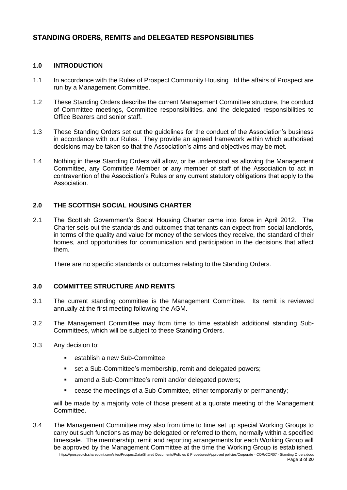#### **STANDING ORDERS, REMITS and DELEGATED RESPONSIBILITIES**

#### **1.0 INTRODUCTION**

- 1.1 In accordance with the Rules of Prospect Community Housing Ltd the affairs of Prospect are run by a Management Committee.
- 1.2 These Standing Orders describe the current Management Committee structure, the conduct of Committee meetings, Committee responsibilities, and the delegated responsibilities to Office Bearers and senior staff.
- 1.3 These Standing Orders set out the guidelines for the conduct of the Association's business in accordance with our Rules. They provide an agreed framework within which authorised decisions may be taken so that the Association's aims and objectives may be met.
- 1.4 Nothing in these Standing Orders will allow, or be understood as allowing the Management Committee, any Committee Member or any member of staff of the Association to act in contravention of the Association's Rules or any current statutory obligations that apply to the Association.

#### **2.0 THE SCOTTISH SOCIAL HOUSING CHARTER**

2.1 The Scottish Government's Social Housing Charter came into force in April 2012. The Charter sets out the standards and outcomes that tenants can expect from social landlords, in terms of the quality and value for money of the services they receive, the standard of their homes, and opportunities for communication and participation in the decisions that affect them.

There are no specific standards or outcomes relating to the Standing Orders.

#### **3.0 COMMITTEE STRUCTURE AND REMITS**

- 3.1 The current standing committee is the Management Committee. Its remit is reviewed annually at the first meeting following the AGM.
- 3.2 The Management Committee may from time to time establish additional standing Sub-Committees, which will be subject to these Standing Orders.
- 3.3 Any decision to:
	- establish a new Sub-Committee
	- set a Sub-Committee's membership, remit and delegated powers;
	- amend a Sub-Committee's remit and/or delegated powers;
	- cease the meetings of a Sub-Committee, either temporarily or permanently;

will be made by a majority vote of those present at a quorate meeting of the Management Committee.

https://prospectch.sharepoint.com/sites/ProspectData/Shared Documents/Policies & Procedures/Approved policies/Corporate - COR/COR07 - Standing Orders.docx 3.4 The Management Committee may also from time to time set up special Working Groups to carry out such functions as may be delegated or referred to them, normally within a specified timescale. The membership, remit and reporting arrangements for each Working Group will be approved by the Management Committee at the time the Working Group is established.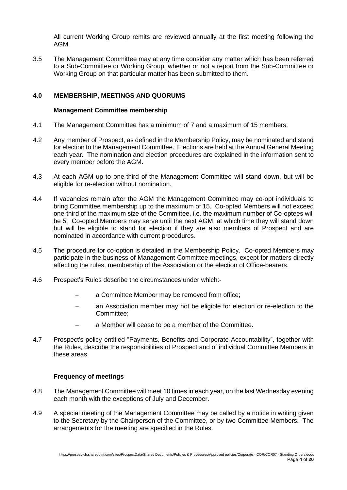All current Working Group remits are reviewed annually at the first meeting following the AGM.

3.5 The Management Committee may at any time consider any matter which has been referred to a Sub-Committee or Working Group, whether or not a report from the Sub-Committee or Working Group on that particular matter has been submitted to them.

#### **4.0 MEMBERSHIP, MEETINGS AND QUORUMS**

#### **Management Committee membership**

- 4.1 The Management Committee has a minimum of 7 and a maximum of 15 members.
- 4.2 Any member of Prospect, as defined in the Membership Policy, may be nominated and stand for election to the Management Committee. Elections are held at the Annual General Meeting each year. The nomination and election procedures are explained in the information sent to every member before the AGM.
- 4.3 At each AGM up to one-third of the Management Committee will stand down, but will be eligible for re-election without nomination.
- 4.4 If vacancies remain after the AGM the Management Committee may co-opt individuals to bring Committee membership up to the maximum of 15. Co-opted Members will not exceed one-third of the maximum size of the Committee, i.e. the maximum number of Co-optees will be 5. Co-opted Members may serve until the next AGM, at which time they will stand down but will be eligible to stand for election if they are also members of Prospect and are nominated in accordance with current procedures.
- 4.5 The procedure for co-option is detailed in the Membership Policy. Co-opted Members may participate in the business of Management Committee meetings, except for matters directly affecting the rules, membership of the Association or the election of Office-bearers.
- 4.6 Prospect's Rules describe the circumstances under which:
	- a Committee Member may be removed from office;
	- an Association member may not be eligible for election or re-election to the Committee;
	- a Member will cease to be a member of the Committee.
- 4.7 Prospect's policy entitled "Payments, Benefits and Corporate Accountability", together with the Rules, describe the responsibilities of Prospect and of individual Committee Members in these areas.

#### **Frequency of meetings**

- 4.8 The Management Committee will meet 10 times in each year, on the last Wednesday evening each month with the exceptions of July and December.
- 4.9 A special meeting of the Management Committee may be called by a notice in writing given to the Secretary by the Chairperson of the Committee, or by two Committee Members. The arrangements for the meeting are specified in the Rules.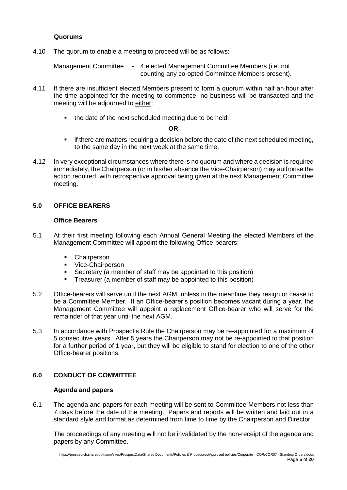#### **Quorums**

4.10 The quorum to enable a meeting to proceed will be as follows:

Management Committee - 4 elected Management Committee Members (i.e. not counting any co-opted Committee Members present).

- 4.11 If there are insufficient elected Members present to form a quorum within half an hour after the time appointed for the meeting to commence, no business will be transacted and the meeting will be adjourned to either:
	- the date of the next scheduled meeting due to be held,

#### **OR**

- **•** if there are matters requiring a decision before the date of the next scheduled meeting, to the same day in the next week at the same time.
- 4.12 In very exceptional circumstances where there is no quorum and where a decision is required immediately, the Chairperson (or in his/her absence the Vice-Chairperson) may authorise the action required, with retrospective approval being given at the next Management Committee meeting.

#### **5.0 OFFICE BEARERS**

#### **Office Bearers**

- 5.1 At their first meeting following each Annual General Meeting the elected Members of the Management Committee will appoint the following Office-bearers:
	- Chairperson
	- Vice-Chairperson
	- Secretary (a member of staff may be appointed to this position)
	- Treasurer (a member of staff may be appointed to this position)
- 5.2 Office-bearers will serve until the next AGM, unless in the meantime they resign or cease to be a Committee Member. If an Office-bearer's position becomes vacant during a year, the Management Committee will appoint a replacement Office-bearer who will serve for the remainder of that year until the next AGM.
- 5.3 In accordance with Prospect's Rule the Chairperson may be re-appointed for a maximum of 5 consecutive years. After 5 years the Chairperson may not be re-appointed to that position for a further period of 1 year, but they will be eligible to stand for election to one of the other Office-bearer positions.

#### **6.0 CONDUCT OF COMMITTEE**

#### **Agenda and papers**

6.1 The agenda and papers for each meeting will be sent to Committee Members not less than 7 days before the date of the meeting. Papers and reports will be written and laid out in a standard style and format as determined from time to time by the Chairperson and Director.

The proceedings of any meeting will not be invalidated by the non-receipt of the agenda and papers by any Committee.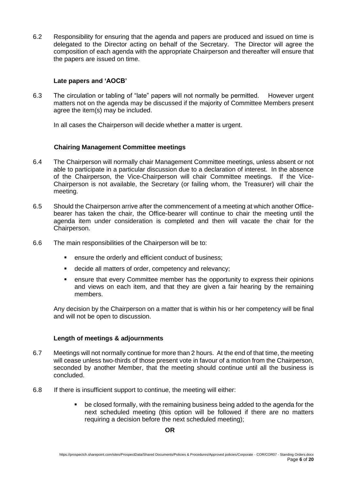6.2 Responsibility for ensuring that the agenda and papers are produced and issued on time is delegated to the Director acting on behalf of the Secretary. The Director will agree the composition of each agenda with the appropriate Chairperson and thereafter will ensure that the papers are issued on time.

#### **Late papers and 'AOCB'**

6.3 The circulation or tabling of "late" papers will not normally be permitted. However urgent matters not on the agenda may be discussed if the majority of Committee Members present agree the item(s) may be included.

In all cases the Chairperson will decide whether a matter is urgent.

#### **Chairing Management Committee meetings**

- 6.4 The Chairperson will normally chair Management Committee meetings, unless absent or not able to participate in a particular discussion due to a declaration of interest. In the absence of the Chairperson, the Vice-Chairperson will chair Committee meetings. If the Vice-Chairperson is not available, the Secretary (or failing whom, the Treasurer) will chair the meeting.
- 6.5 Should the Chairperson arrive after the commencement of a meeting at which another Officebearer has taken the chair, the Office-bearer will continue to chair the meeting until the agenda item under consideration is completed and then will vacate the chair for the Chairperson.
- 6.6 The main responsibilities of the Chairperson will be to:
	- ensure the orderly and efficient conduct of business;
	- decide all matters of order, competency and relevancy;
	- ensure that every Committee member has the opportunity to express their opinions and views on each item, and that they are given a fair hearing by the remaining members.

Any decision by the Chairperson on a matter that is within his or her competency will be final and will not be open to discussion.

#### **Length of meetings & adjournments**

- 6.7 Meetings will not normally continue for more than 2 hours. At the end of that time, the meeting will cease unless two-thirds of those present vote in favour of a motion from the Chairperson, seconded by another Member, that the meeting should continue until all the business is concluded.
- 6.8 If there is insufficient support to continue, the meeting will either:
	- be closed formally, with the remaining business being added to the agenda for the next scheduled meeting (this option will be followed if there are no matters requiring a decision before the next scheduled meeting);

**OR**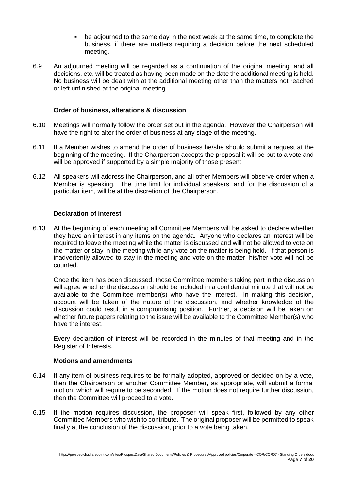- be adjourned to the same day in the next week at the same time, to complete the business, if there are matters requiring a decision before the next scheduled meeting.
- 6.9 An adjourned meeting will be regarded as a continuation of the original meeting, and all decisions, etc. will be treated as having been made on the date the additional meeting is held. No business will be dealt with at the additional meeting other than the matters not reached or left unfinished at the original meeting.

#### **Order of business, alterations & discussion**

- 6.10 Meetings will normally follow the order set out in the agenda. However the Chairperson will have the right to alter the order of business at any stage of the meeting.
- 6.11 If a Member wishes to amend the order of business he/she should submit a request at the beginning of the meeting. If the Chairperson accepts the proposal it will be put to a vote and will be approved if supported by a simple majority of those present.
- 6.12 All speakers will address the Chairperson, and all other Members will observe order when a Member is speaking. The time limit for individual speakers, and for the discussion of a particular item, will be at the discretion of the Chairperson.

#### **Declaration of interest**

6.13 At the beginning of each meeting all Committee Members will be asked to declare whether they have an interest in any items on the agenda. Anyone who declares an interest will be required to leave the meeting while the matter is discussed and will not be allowed to vote on the matter or stay in the meeting while any vote on the matter is being held. If that person is inadvertently allowed to stay in the meeting and vote on the matter, his/her vote will not be counted.

Once the item has been discussed, those Committee members taking part in the discussion will agree whether the discussion should be included in a confidential minute that will not be available to the Committee member(s) who have the interest. In making this decision, account will be taken of the nature of the discussion, and whether knowledge of the discussion could result in a compromising position. Further, a decision will be taken on whether future papers relating to the issue will be available to the Committee Member(s) who have the interest.

Every declaration of interest will be recorded in the minutes of that meeting and in the Register of Interests.

#### **Motions and amendments**

- 6.14 If any item of business requires to be formally adopted, approved or decided on by a vote, then the Chairperson or another Committee Member, as appropriate, will submit a formal motion, which will require to be seconded. If the motion does not require further discussion, then the Committee will proceed to a vote.
- 6.15 If the motion requires discussion, the proposer will speak first, followed by any other Committee Members who wish to contribute. The original proposer will be permitted to speak finally at the conclusion of the discussion, prior to a vote being taken.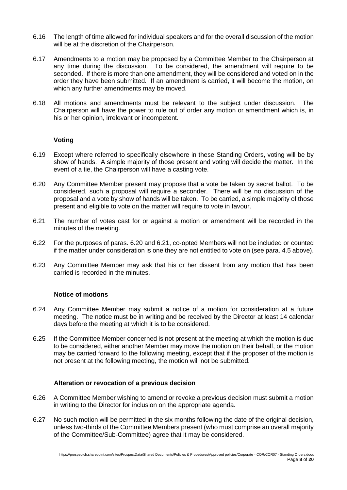- 6.16 The length of time allowed for individual speakers and for the overall discussion of the motion will be at the discretion of the Chairperson.
- 6.17 Amendments to a motion may be proposed by a Committee Member to the Chairperson at any time during the discussion. To be considered, the amendment will require to be seconded. If there is more than one amendment, they will be considered and voted on in the order they have been submitted. If an amendment is carried, it will become the motion, on which any further amendments may be moved.
- 6.18 All motions and amendments must be relevant to the subject under discussion. The Chairperson will have the power to rule out of order any motion or amendment which is, in his or her opinion, irrelevant or incompetent.

#### **Voting**

- 6.19 Except where referred to specifically elsewhere in these Standing Orders, voting will be by show of hands. A simple majority of those present and voting will decide the matter. In the event of a tie, the Chairperson will have a casting vote.
- 6.20 Any Committee Member present may propose that a vote be taken by secret ballot. To be considered, such a proposal will require a seconder. There will be no discussion of the proposal and a vote by show of hands will be taken. To be carried, a simple majority of those present and eligible to vote on the matter will require to vote in favour.
- 6.21 The number of votes cast for or against a motion or amendment will be recorded in the minutes of the meeting.
- 6.22 For the purposes of paras. 6.20 and 6.21, co-opted Members will not be included or counted if the matter under consideration is one they are not entitled to vote on (see para. 4.5 above).
- 6.23 Any Committee Member may ask that his or her dissent from any motion that has been carried is recorded in the minutes.

#### **Notice of motions**

- 6.24 Any Committee Member may submit a notice of a motion for consideration at a future meeting. The notice must be in writing and be received by the Director at least 14 calendar days before the meeting at which it is to be considered.
- 6.25 If the Committee Member concerned is not present at the meeting at which the motion is due to be considered, either another Member may move the motion on their behalf, or the motion may be carried forward to the following meeting, except that if the proposer of the motion is not present at the following meeting, the motion will not be submitted.

#### **Alteration or revocation of a previous decision**

- 6.26 A Committee Member wishing to amend or revoke a previous decision must submit a motion in writing to the Director for inclusion on the appropriate agenda.
- 6.27 No such motion will be permitted in the six months following the date of the original decision, unless two-thirds of the Committee Members present (who must comprise an overall majority of the Committee/Sub-Committee) agree that it may be considered.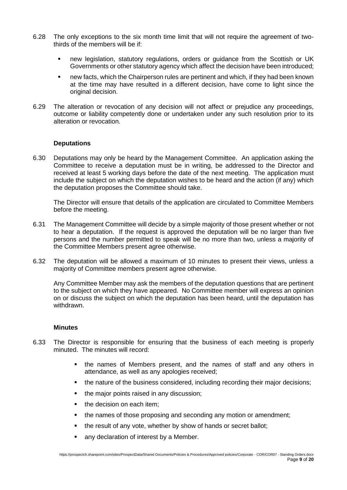- 6.28 The only exceptions to the six month time limit that will not require the agreement of twothirds of the members will be if:
	- new legislation, statutory regulations, orders or guidance from the Scottish or UK Governments or other statutory agency which affect the decision have been introduced;
	- new facts, which the Chairperson rules are pertinent and which, if they had been known at the time may have resulted in a different decision, have come to light since the original decision.
- 6.29 The alteration or revocation of any decision will not affect or prejudice any proceedings, outcome or liability competently done or undertaken under any such resolution prior to its alteration or revocation.

#### **Deputations**

6.30 Deputations may only be heard by the Management Committee. An application asking the Committee to receive a deputation must be in writing, be addressed to the Director and received at least 5 working days before the date of the next meeting. The application must include the subject on which the deputation wishes to be heard and the action (if any) which the deputation proposes the Committee should take.

The Director will ensure that details of the application are circulated to Committee Members before the meeting.

- 6.31 The Management Committee will decide by a simple majority of those present whether or not to hear a deputation. If the request is approved the deputation will be no larger than five persons and the number permitted to speak will be no more than two, unless a majority of the Committee Members present agree otherwise.
- 6.32 The deputation will be allowed a maximum of 10 minutes to present their views, unless a majority of Committee members present agree otherwise.

Any Committee Member may ask the members of the deputation questions that are pertinent to the subject on which they have appeared. No Committee member will express an opinion on or discuss the subject on which the deputation has been heard, until the deputation has withdrawn.

#### **Minutes**

- 6.33 The Director is responsible for ensuring that the business of each meeting is properly minuted. The minutes will record:
	- the names of Members present, and the names of staff and any others in attendance, as well as any apologies received;
	- the nature of the business considered, including recording their major decisions;
	- the major points raised in any discussion;
	- the decision on each item;
	- the names of those proposing and seconding any motion or amendment;
	- the result of any vote, whether by show of hands or secret ballot;
	- any declaration of interest by a Member.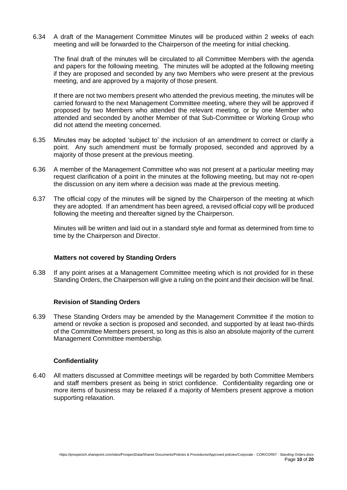6.34 A draft of the Management Committee Minutes will be produced within 2 weeks of each meeting and will be forwarded to the Chairperson of the meeting for initial checking.

The final draft of the minutes will be circulated to all Committee Members with the agenda and papers for the following meeting. The minutes will be adopted at the following meeting if they are proposed and seconded by any two Members who were present at the previous meeting, and are approved by a majority of those present.

If there are not two members present who attended the previous meeting, the minutes will be carried forward to the next Management Committee meeting, where they will be approved if proposed by two Members who attended the relevant meeting, or by one Member who attended and seconded by another Member of that Sub-Committee or Working Group who did not attend the meeting concerned.

- 6.35 Minutes may be adopted 'subject to' the inclusion of an amendment to correct or clarify a point. Any such amendment must be formally proposed, seconded and approved by a majority of those present at the previous meeting.
- 6.36 A member of the Management Committee who was not present at a particular meeting may request clarification of a point in the minutes at the following meeting, but may not re-open the discussion on any item where a decision was made at the previous meeting.
- 6.37 The official copy of the minutes will be signed by the Chairperson of the meeting at which they are adopted. If an amendment has been agreed, a revised official copy will be produced following the meeting and thereafter signed by the Chairperson.

Minutes will be written and laid out in a standard style and format as determined from time to time by the Chairperson and Director.

#### **Matters not covered by Standing Orders**

6.38 If any point arises at a Management Committee meeting which is not provided for in these Standing Orders, the Chairperson will give a ruling on the point and their decision will be final.

#### **Revision of Standing Orders**

6.39 These Standing Orders may be amended by the Management Committee if the motion to amend or revoke a section is proposed and seconded, and supported by at least two-thirds of the Committee Members present, so long as this is also an absolute majority of the current Management Committee membership.

#### **Confidentiality**

6.40 All matters discussed at Committee meetings will be regarded by both Committee Members and staff members present as being in strict confidence. Confidentiality regarding one or more items of business may be relaxed if a majority of Members present approve a motion supporting relaxation.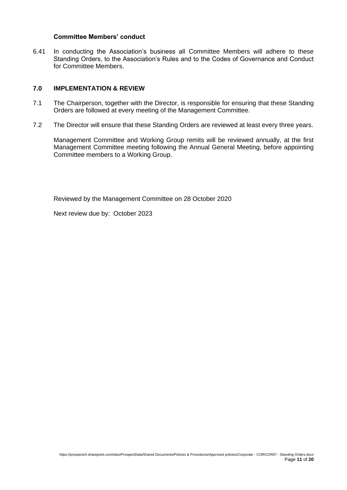#### **Committee Members' conduct**

6.41 In conducting the Association's business all Committee Members will adhere to these Standing Orders, to the Association's Rules and to the Codes of Governance and Conduct for Committee Members.

#### **7.0 IMPLEMENTATION & REVIEW**

- 7.1 The Chairperson, together with the Director, is responsible for ensuring that these Standing Orders are followed at every meeting of the Management Committee.
- 7.2 The Director will ensure that these Standing Orders are reviewed at least every three years.

Management Committee and Working Group remits will be reviewed annually, at the first Management Committee meeting following the Annual General Meeting, before appointing Committee members to a Working Group.

Reviewed by the Management Committee on 28 October 2020

Next review due by: October 2023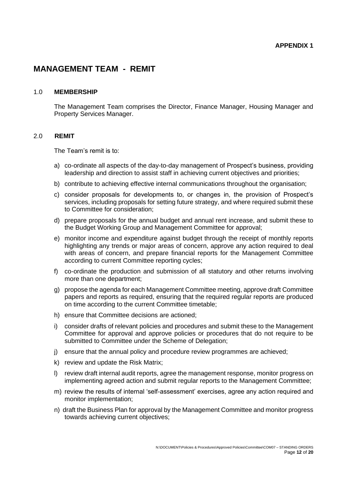### **MANAGEMENT TEAM - REMIT**

#### 1.0 **MEMBERSHIP**

The Management Team comprises the Director, Finance Manager, Housing Manager and Property Services Manager.

#### 2.0 **REMIT**

The Team's remit is to:

- a) co-ordinate all aspects of the day-to-day management of Prospect's business, providing leadership and direction to assist staff in achieving current objectives and priorities;
- b) contribute to achieving effective internal communications throughout the organisation;
- c) consider proposals for developments to, or changes in, the provision of Prospect's services, including proposals for setting future strategy, and where required submit these to Committee for consideration;
- d) prepare proposals for the annual budget and annual rent increase, and submit these to the Budget Working Group and Management Committee for approval;
- e) monitor income and expenditure against budget through the receipt of monthly reports highlighting any trends or major areas of concern, approve any action required to deal with areas of concern, and prepare financial reports for the Management Committee according to current Committee reporting cycles;
- f) co-ordinate the production and submission of all statutory and other returns involving more than one department;
- g) propose the agenda for each Management Committee meeting, approve draft Committee papers and reports as required, ensuring that the required regular reports are produced on time according to the current Committee timetable;
- h) ensure that Committee decisions are actioned;
- i) consider drafts of relevant policies and procedures and submit these to the Management Committee for approval and approve policies or procedures that do not require to be submitted to Committee under the Scheme of Delegation;
- j) ensure that the annual policy and procedure review programmes are achieved;
- k) review and update the Risk Matrix;
- l) review draft internal audit reports, agree the management response, monitor progress on implementing agreed action and submit regular reports to the Management Committee;
- m) review the results of internal 'self-assessment' exercises, agree any action required and monitor implementation;
- n) draft the Business Plan for approval by the Management Committee and monitor progress towards achieving current objectives;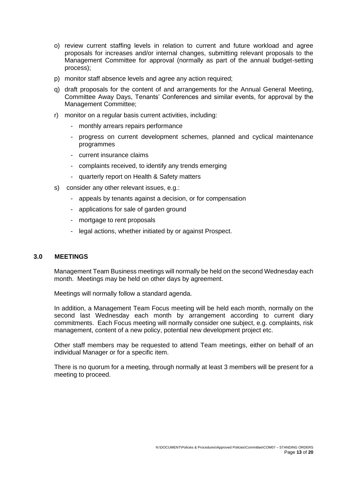- o) review current staffing levels in relation to current and future workload and agree proposals for increases and/or internal changes, submitting relevant proposals to the Management Committee for approval (normally as part of the annual budget-setting process);
- p) monitor staff absence levels and agree any action required;
- q) draft proposals for the content of and arrangements for the Annual General Meeting, Committee Away Days, Tenants' Conferences and similar events, for approval by the Management Committee;
- r) monitor on a regular basis current activities, including:
	- monthly arrears repairs performance
	- progress on current development schemes, planned and cyclical maintenance programmes
	- current insurance claims
	- complaints received, to identify any trends emerging
	- quarterly report on Health & Safety matters
- s) consider any other relevant issues, e.g.:
	- appeals by tenants against a decision, or for compensation
	- applications for sale of garden ground
	- mortgage to rent proposals
	- legal actions, whether initiated by or against Prospect.

#### **3.0 MEETINGS**

Management Team Business meetings will normally be held on the second Wednesday each month. Meetings may be held on other days by agreement.

Meetings will normally follow a standard agenda.

In addition, a Management Team Focus meeting will be held each month, normally on the second last Wednesday each month by arrangement according to current diary commitments. Each Focus meeting will normally consider one subject, e.g. complaints, risk management, content of a new policy, potential new development project etc.

Other staff members may be requested to attend Team meetings, either on behalf of an individual Manager or for a specific item.

There is no quorum for a meeting, through normally at least 3 members will be present for a meeting to proceed.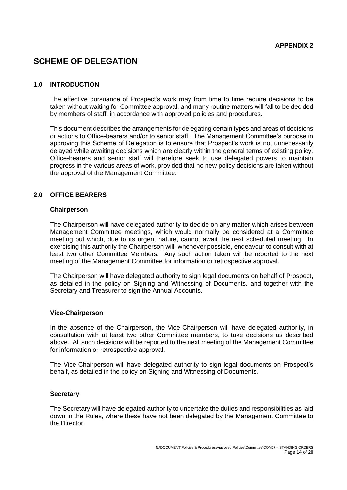### **SCHEME OF DELEGATION**

#### **1.0 INTRODUCTION**

The effective pursuance of Prospect's work may from time to time require decisions to be taken without waiting for Committee approval, and many routine matters will fall to be decided by members of staff, in accordance with approved policies and procedures.

This document describes the arrangements for delegating certain types and areas of decisions or actions to Office-bearers and/or to senior staff. The Management Committee's purpose in approving this Scheme of Delegation is to ensure that Prospect's work is not unnecessarily delayed while awaiting decisions which are clearly within the general terms of existing policy. Office-bearers and senior staff will therefore seek to use delegated powers to maintain progress in the various areas of work, provided that no new policy decisions are taken without the approval of the Management Committee.

#### **2.0 OFFICE BEARERS**

#### **Chairperson**

The Chairperson will have delegated authority to decide on any matter which arises between Management Committee meetings, which would normally be considered at a Committee meeting but which, due to its urgent nature, cannot await the next scheduled meeting. In exercising this authority the Chairperson will, whenever possible, endeavour to consult with at least two other Committee Members. Any such action taken will be reported to the next meeting of the Management Committee for information or retrospective approval.

The Chairperson will have delegated authority to sign legal documents on behalf of Prospect, as detailed in the policy on Signing and Witnessing of Documents, and together with the Secretary and Treasurer to sign the Annual Accounts.

#### **Vice-Chairperson**

In the absence of the Chairperson, the Vice-Chairperson will have delegated authority, in consultation with at least two other Committee members, to take decisions as described above. All such decisions will be reported to the next meeting of the Management Committee for information or retrospective approval.

The Vice-Chairperson will have delegated authority to sign legal documents on Prospect's behalf, as detailed in the policy on Signing and Witnessing of Documents.

#### **Secretary**

The Secretary will have delegated authority to undertake the duties and responsibilities as laid down in the Rules, where these have not been delegated by the Management Committee to the Director.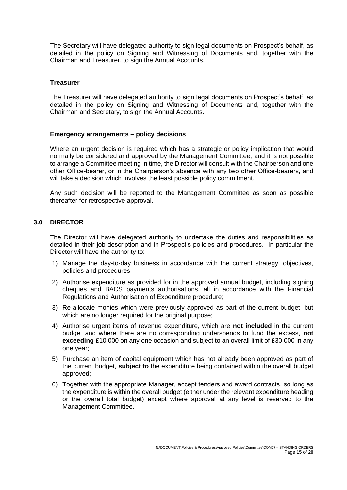The Secretary will have delegated authority to sign legal documents on Prospect's behalf, as detailed in the policy on Signing and Witnessing of Documents and, together with the Chairman and Treasurer, to sign the Annual Accounts.

#### **Treasurer**

The Treasurer will have delegated authority to sign legal documents on Prospect's behalf, as detailed in the policy on Signing and Witnessing of Documents and, together with the Chairman and Secretary, to sign the Annual Accounts.

#### **Emergency arrangements – policy decisions**

Where an urgent decision is required which has a strategic or policy implication that would normally be considered and approved by the Management Committee, and it is not possible to arrange a Committee meeting in time, the Director will consult with the Chairperson and one other Office-bearer, or in the Chairperson's absence with any two other Office-bearers, and will take a decision which involves the least possible policy commitment.

Any such decision will be reported to the Management Committee as soon as possible thereafter for retrospective approval.

#### **3.0 DIRECTOR**

The Director will have delegated authority to undertake the duties and responsibilities as detailed in their job description and in Prospect's policies and procedures. In particular the Director will have the authority to:

- 1) Manage the day-to-day business in accordance with the current strategy, objectives, policies and procedures;
- 2) Authorise expenditure as provided for in the approved annual budget, including signing cheques and BACS payments authorisations, all in accordance with the Financial Regulations and Authorisation of Expenditure procedure;
- 3) Re-allocate monies which were previously approved as part of the current budget, but which are no longer required for the original purpose;
- 4) Authorise urgent items of revenue expenditure, which are **not included** in the current budget and where there are no corresponding underspends to fund the excess, **not exceeding** £10,000 on any one occasion and subject to an overall limit of £30,000 in any one year;
- 5) Purchase an item of capital equipment which has not already been approved as part of the current budget, **subject to** the expenditure being contained within the overall budget approved;
- 6) Together with the appropriate Manager, accept tenders and award contracts, so long as the expenditure is within the overall budget (either under the relevant expenditure heading or the overall total budget) except where approval at any level is reserved to the Management Committee.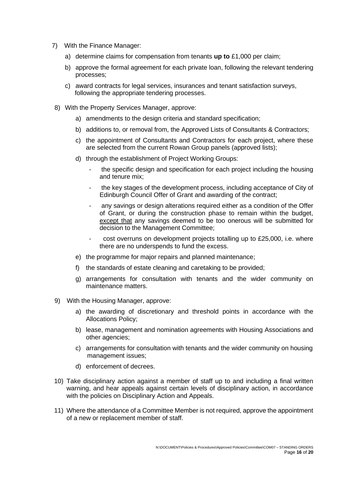- 7) With the Finance Manager:
	- a) determine claims for compensation from tenants **up to** £1,000 per claim;
	- b) approve the formal agreement for each private loan, following the relevant tendering processes;
	- c) award contracts for legal services, insurances and tenant satisfaction surveys, following the appropriate tendering processes.
- 8) With the Property Services Manager, approve:
	- a) amendments to the design criteria and standard specification;
	- b) additions to, or removal from, the Approved Lists of Consultants & Contractors;
	- c) the appointment of Consultants and Contractors for each project, where these are selected from the current Rowan Group panels (approved lists);
	- d) through the establishment of Project Working Groups:
		- the specific design and specification for each project including the housing and tenure mix;
		- the key stages of the development process, including acceptance of City of Edinburgh Council Offer of Grant and awarding of the contract;
		- any savings or design alterations required either as a condition of the Offer of Grant, or during the construction phase to remain within the budget, except that any savings deemed to be too onerous will be submitted for decision to the Management Committee;
		- cost overruns on development projects totalling up to £25,000, i.e. where there are no underspends to fund the excess.
	- e) the programme for major repairs and planned maintenance;
	- f) the standards of estate cleaning and caretaking to be provided;
	- g) arrangements for consultation with tenants and the wider community on maintenance matters.
- 9) With the Housing Manager, approve:
	- a) the awarding of discretionary and threshold points in accordance with the Allocations Policy;
	- b) lease, management and nomination agreements with Housing Associations and other agencies;
	- c) arrangements for consultation with tenants and the wider community on housing management issues;
	- d) enforcement of decrees.
- 10) Take disciplinary action against a member of staff up to and including a final written warning, and hear appeals against certain levels of disciplinary action, in accordance with the policies on Disciplinary Action and Appeals.
- 11) Where the attendance of a Committee Member is not required, approve the appointment of a new or replacement member of staff.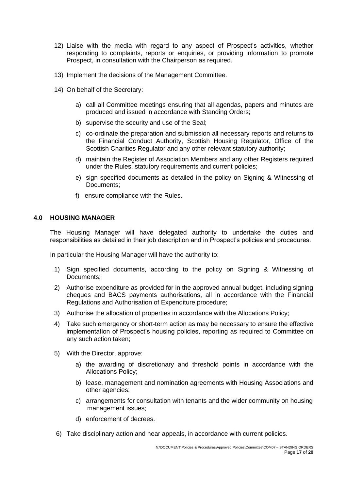- 12) Liaise with the media with regard to any aspect of Prospect's activities, whether responding to complaints, reports or enquiries, or providing information to promote Prospect, in consultation with the Chairperson as required.
- 13) Implement the decisions of the Management Committee.
- 14) On behalf of the Secretary:
	- a) call all Committee meetings ensuring that all agendas, papers and minutes are produced and issued in accordance with Standing Orders;
	- b) supervise the security and use of the Seal;
	- c) co-ordinate the preparation and submission all necessary reports and returns to the Financial Conduct Authority, Scottish Housing Regulator, Office of the Scottish Charities Regulator and any other relevant statutory authority;
	- d) maintain the Register of Association Members and any other Registers required under the Rules, statutory requirements and current policies;
	- e) sign specified documents as detailed in the policy on Signing & Witnessing of Documents;
	- f) ensure compliance with the Rules.

#### **4.0 HOUSING MANAGER**

The Housing Manager will have delegated authority to undertake the duties and responsibilities as detailed in their job description and in Prospect's policies and procedures.

In particular the Housing Manager will have the authority to:

- 1) Sign specified documents, according to the policy on Signing & Witnessing of Documents;
- 2) Authorise expenditure as provided for in the approved annual budget, including signing cheques and BACS payments authorisations, all in accordance with the Financial Regulations and Authorisation of Expenditure procedure;
- 3) Authorise the allocation of properties in accordance with the Allocations Policy;
- 4) Take such emergency or short-term action as may be necessary to ensure the effective implementation of Prospect's housing policies, reporting as required to Committee on any such action taken;
- 5) With the Director, approve:
	- a) the awarding of discretionary and threshold points in accordance with the Allocations Policy;
	- b) lease, management and nomination agreements with Housing Associations and other agencies;
	- c) arrangements for consultation with tenants and the wider community on housing management issues;
	- d) enforcement of decrees.
- 6) Take disciplinary action and hear appeals, in accordance with current policies.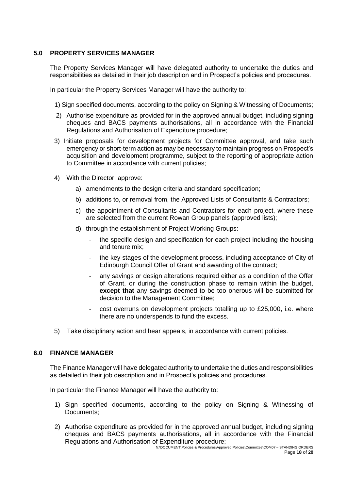#### **5.0 PROPERTY SERVICES MANAGER**

The Property Services Manager will have delegated authority to undertake the duties and responsibilities as detailed in their job description and in Prospect's policies and procedures.

In particular the Property Services Manager will have the authority to:

1) Sign specified documents, according to the policy on Signing & Witnessing of Documents;

- 2) Authorise expenditure as provided for in the approved annual budget, including signing cheques and BACS payments authorisations, all in accordance with the Financial Regulations and Authorisation of Expenditure procedure;
- 3) Initiate proposals for development projects for Committee approval, and take such emergency or short-term action as may be necessary to maintain progress on Prospect's acquisition and development programme, subject to the reporting of appropriate action to Committee in accordance with current policies;
- 4) With the Director, approve:
	- a) amendments to the design criteria and standard specification;
	- b) additions to, or removal from, the Approved Lists of Consultants & Contractors;
	- c) the appointment of Consultants and Contractors for each project, where these are selected from the current Rowan Group panels (approved lists);
	- d) through the establishment of Project Working Groups:
		- the specific design and specification for each project including the housing and tenure mix;
		- the key stages of the development process, including acceptance of City of Edinburgh Council Offer of Grant and awarding of the contract;
		- any savings or design alterations required either as a condition of the Offer of Grant, or during the construction phase to remain within the budget, **except that** any savings deemed to be too onerous will be submitted for decision to the Management Committee;
		- cost overruns on development projects totalling up to £25,000, i.e. where there are no underspends to fund the excess.
- 5) Take disciplinary action and hear appeals, in accordance with current policies.

#### **6.0 FINANCE MANAGER**

The Finance Manager will have delegated authority to undertake the duties and responsibilities as detailed in their job description and in Prospect's policies and procedures.

In particular the Finance Manager will have the authority to:

- 1) Sign specified documents, according to the policy on Signing & Witnessing of Documents;
- 2) Authorise expenditure as provided for in the approved annual budget, including signing cheques and BACS payments authorisations, all in accordance with the Financial Regulations and Authorisation of Expenditure procedure;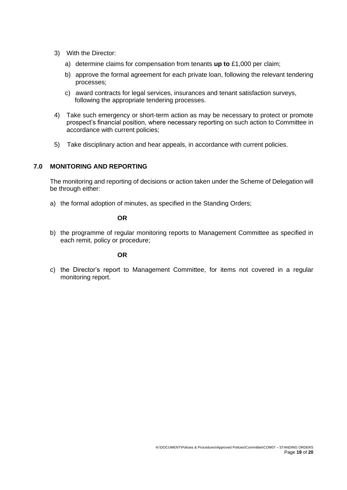- 3) With the Director:
	- a) determine claims for compensation from tenants **up to** £1,000 per claim;
	- b) approve the formal agreement for each private loan, following the relevant tendering processes;
	- c) award contracts for legal services, insurances and tenant satisfaction surveys, following the appropriate tendering processes.
- 4) Take such emergency or short-term action as may be necessary to protect or promote prospect's financial position, where necessary reporting on such action to Committee in accordance with current policies;
- 5) Take disciplinary action and hear appeals, in accordance with current policies.

#### **7.0 MONITORING AND REPORTING**

The monitoring and reporting of decisions or action taken under the Scheme of Delegation will be through either:

a) the formal adoption of minutes, as specified in the Standing Orders;

#### **OR**

b) the programme of regular monitoring reports to Management Committee as specified in each remit, policy or procedure;

#### **OR**

c) the Director's report to Management Committee, for items not covered in a regular monitoring report.